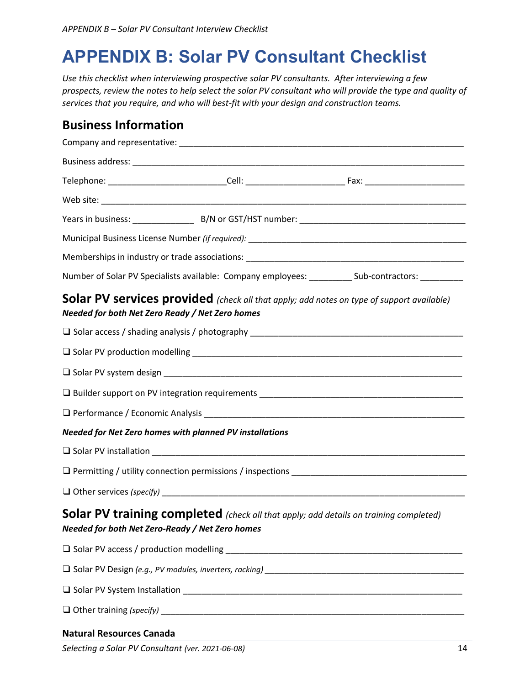# **APPENDIX B: Solar PV Consultant Checklist**

*Use this checklist when interviewing prospective solar PV consultants. After interviewing a few prospects, review the notes to help select the solar PV consultant who will provide the type and quality of services that you require, and who will best-fit with your design and construction teams.* 

#### **Business Information**

|                                                         | Number of Solar PV Specialists available: Company employees: ___________ Sub-contractors: __________ |  |
|---------------------------------------------------------|------------------------------------------------------------------------------------------------------|--|
| Needed for both Net Zero Ready / Net Zero homes         | Solar PV services provided (check all that apply; add notes on type of support available)            |  |
|                                                         |                                                                                                      |  |
|                                                         |                                                                                                      |  |
|                                                         |                                                                                                      |  |
|                                                         |                                                                                                      |  |
|                                                         |                                                                                                      |  |
| Needed for Net Zero homes with planned PV installations |                                                                                                      |  |
|                                                         |                                                                                                      |  |
|                                                         |                                                                                                      |  |
|                                                         |                                                                                                      |  |
| Needed for both Net Zero-Ready / Net Zero homes         | Solar PV training completed (check all that apply; add details on training completed)                |  |
|                                                         |                                                                                                      |  |
|                                                         |                                                                                                      |  |
|                                                         |                                                                                                      |  |
|                                                         |                                                                                                      |  |
| <b>Natural Resources Canada</b>                         |                                                                                                      |  |